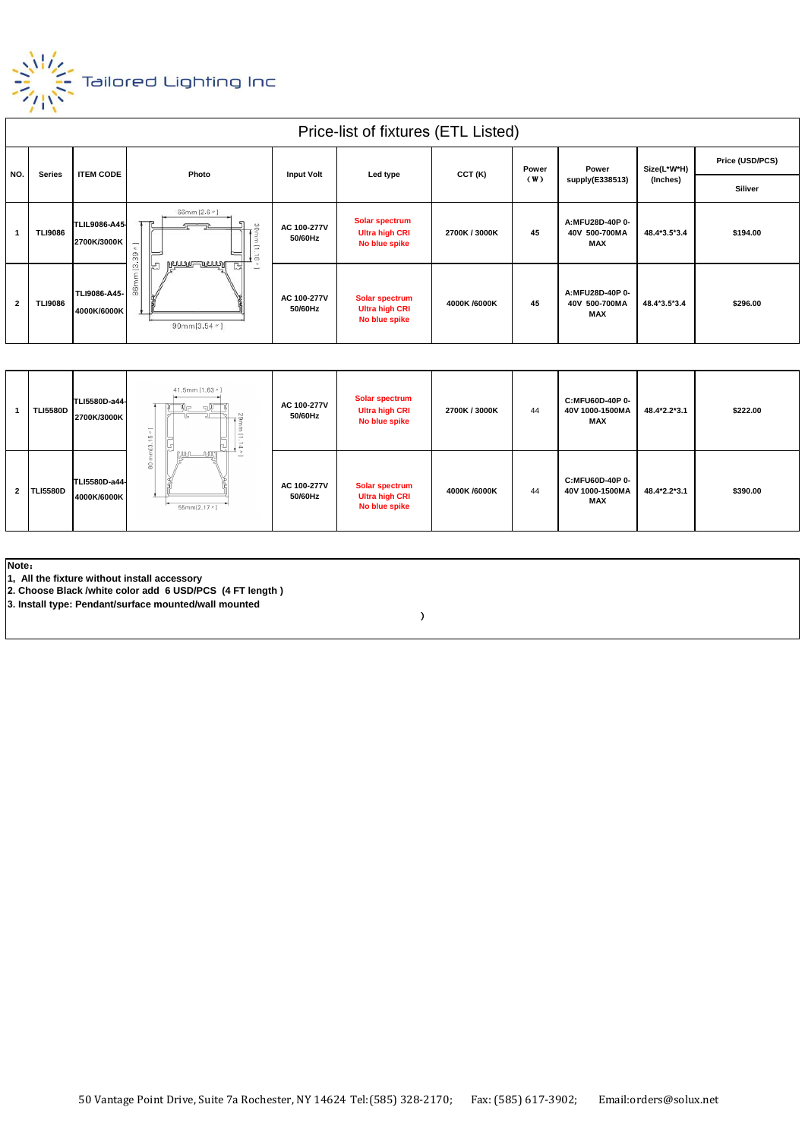

|                | Price-list of fixtures (ETL Listed) |                                     |                                                                                                                                                        |                        |                                                                 |               |              |                                         |                         |                 |
|----------------|-------------------------------------|-------------------------------------|--------------------------------------------------------------------------------------------------------------------------------------------------------|------------------------|-----------------------------------------------------------------|---------------|--------------|-----------------------------------------|-------------------------|-----------------|
| NO.            | <b>Series</b>                       | <b>ITEM CODE</b>                    | Photo                                                                                                                                                  | <b>Input Volt</b>      | Led type                                                        | CCT (K)       | Power<br>(W) | Power<br>supply(E338513)                | Size(L*W*H)<br>(Inches) | Price (USD/PCS) |
|                |                                     |                                     |                                                                                                                                                        |                        |                                                                 |               |              |                                         |                         | <b>Siliver</b>  |
|                | <b>TLI9086</b>                      | <b>TLIL9086-A45-</b><br>2700K/3000K | 66mm [2.6 *]<br>음<br>-<br>$\sigma$<br>$-1$<br>$^{(2)}$<br>$\bullet$ co<br><u>Mmmmmmmund</u><br>믽<br>넘<br>$\sim$<br><b>Senior</b><br>90mm $[3.54$ $"$ ] | AC 100-277V<br>50/60Hz | <b>Solar spectrum</b><br><b>Ultra high CRI</b><br>No blue spike | 2700K / 3000K | 45           | A:MFU28D-40P 0-<br>40V 500-700MA<br>MAX | 48.4*3.5*3.4            | \$194.00        |
| $\overline{2}$ | <b>TLI9086</b>                      | TLI9086-A45-<br>4000K/6000K         |                                                                                                                                                        | AC 100-277V<br>50/60Hz | Solar spectrum<br><b>Ultra high CRI</b><br>No blue spike        | 4000K /6000K  | 45           | A:MFU28D-40P 0-<br>40V 500-700MA<br>MAX | 48.4*3.5*3.4            | \$296.00        |

|                | <b>TLI5580D</b> | TLI5580D-a44-<br>2700K/3000K | 41.5mm [1.63 //]<br>.lra<br>$\epsilon$<br>$\sim$<br>읔<br><b>Service</b><br>읎<br>55mm[2.17 //] | AC 100-277V<br>50/60Hz | Solar spectrum<br><b>Ultra high CRI</b><br>No blue spike        | 2700K / 3000K | 44 | C:MFU60D-40P 0-<br>40V 1000-1500MA<br>MAX | 48.4*2.2*3.1 | \$222.00 |
|----------------|-----------------|------------------------------|-----------------------------------------------------------------------------------------------|------------------------|-----------------------------------------------------------------|---------------|----|-------------------------------------------|--------------|----------|
| $\overline{2}$ | <b>TLI5580D</b> | TLI5580D-a44-<br>4000K/6000K |                                                                                               | AC 100-277V<br>50/60Hz | <b>Solar spectrum</b><br><b>Ultra high CRI</b><br>No blue spike | 4000K /6000K  | 44 | C:MFU60D-40P 0-<br>40V 1000-1500MA<br>MAX | 48.4*2.2*3.1 | \$390.00 |

**Note**:

**1, All the fixture without install accessory**

**2. Choose Black /white color add 6 USD/PCS (4 FT length )**

**3. Install type: Pendant/surface mounted/wall mounted**

 $\lambda$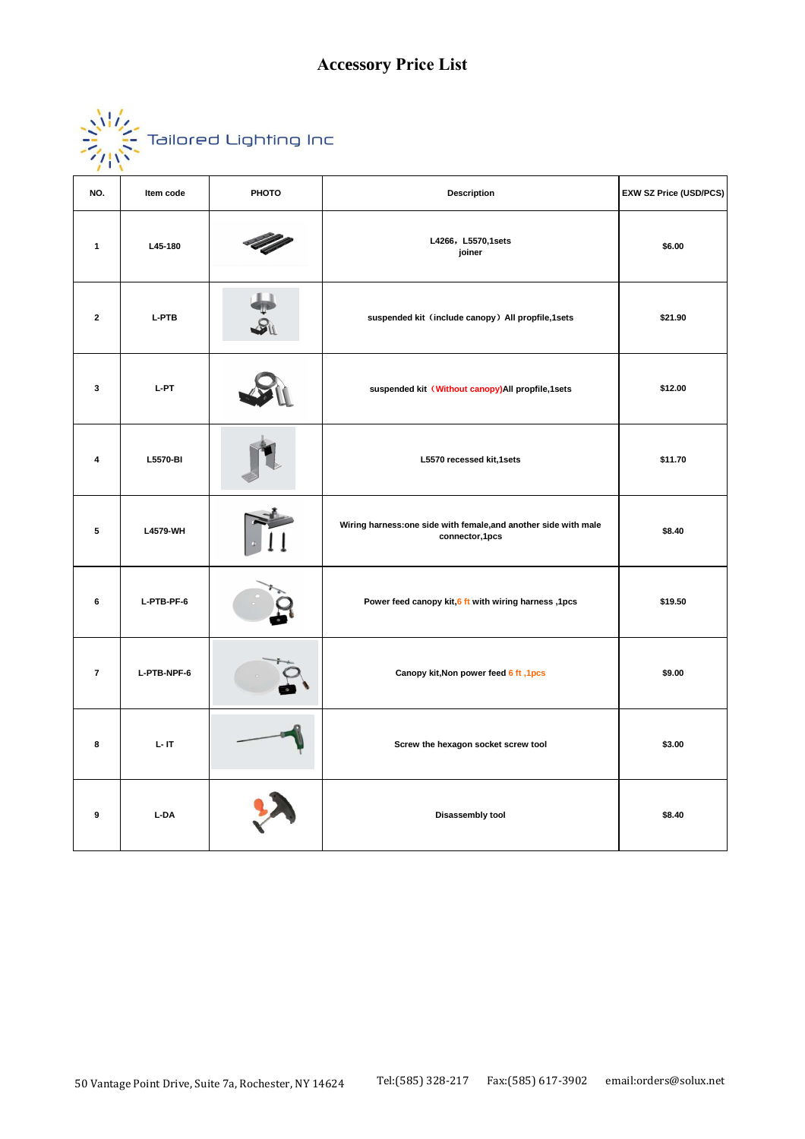| $\sqrt{17}$<br>$\mathcal{L}_{1,1}$ | Tailored Lighting Inc |  |  |
|------------------------------------|-----------------------|--|--|
|                                    |                       |  |  |

| NO.                     | Item code    | PHOTO | Description                                                                        | EXW SZ Price (USD/PCS) |
|-------------------------|--------------|-------|------------------------------------------------------------------------------------|------------------------|
| $\mathbf{1}$            | L45-180      |       | L4266, L5570,1sets<br>joiner                                                       | \$6.00                 |
| $\mathbf{2}$            | <b>L-PTB</b> |       | suspended kit (include canopy) All propfile,1sets                                  | \$21.90                |
| 3                       | L-PT         |       | suspended kit (Without canopy) All propfile, 1 sets                                | \$12.00                |
| 4                       | L5570-BI     |       | L5570 recessed kit,1sets                                                           | \$11.70                |
| $\overline{\mathbf{5}}$ | L4579-WH     |       | Wiring harness: one side with female, and another side with male<br>connector,1pcs | \$8.40                 |
| 6                       | L-PTB-PF-6   |       | Power feed canopy kit, 6 ft with wiring harness, 1pcs                              | \$19.50                |
| $\overline{7}$          | L-PTB-NPF-6  |       | Canopy kit, Non power feed 6 ft, 1pcs                                              | \$9.00                 |
| 8                       | $L - IT$     |       | Screw the hexagon socket screw tool                                                | \$3.00                 |
| 9                       | L-DA         |       | Disassembly tool                                                                   | \$8.40                 |